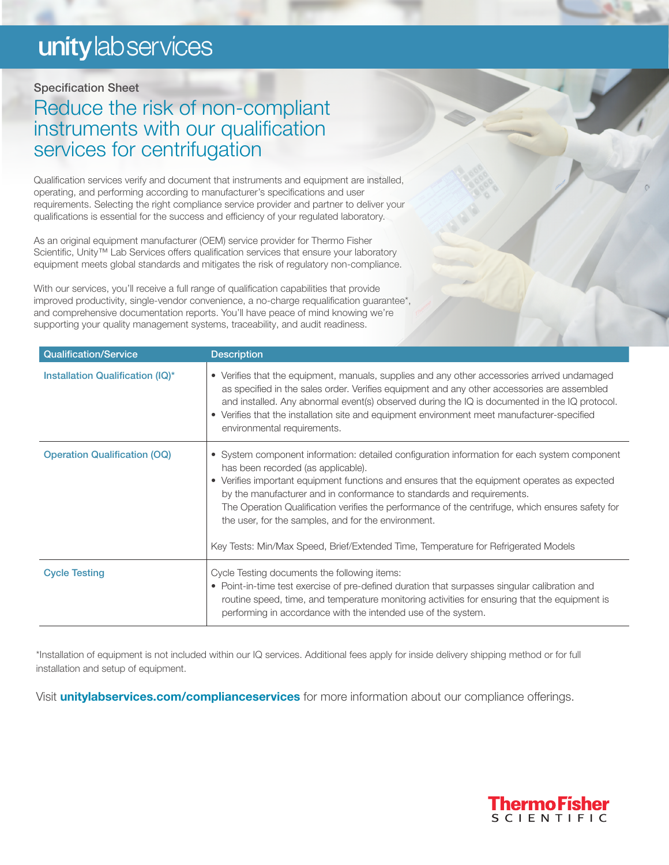# unity lab services

### Specification Sheet

## Reduce the risk of non-compliant instruments with our qualification services for centrifugation

Qualification services verify and document that instruments and equipment are installed, operating, and performing according to manufacturer's specifications and user requirements. Selecting the right compliance service provider and partner to deliver your qualifications is essential for the success and efficiency of your regulated laboratory.

As an original equipment manufacturer (OEM) service provider for Thermo Fisher Scientific, Unity<sup>™</sup> Lab Services offers qualification services that ensure your laboratory equipment meets global standards and mitigates the risk of regulatory non-compliance.

With our services, you'll receive a full range of qualification capabilities that provide improved productivity, single-vendor convenience, a no-charge requalification guarantee\*, and comprehensive documentation reports. You'll have peace of mind knowing we're supporting your quality management systems, traceability, and audit readiness.

| Qualification/Service               | <b>Description</b>                                                                                                                                                                                                                                                                                                                                                                                                                                                                                                                                           |
|-------------------------------------|--------------------------------------------------------------------------------------------------------------------------------------------------------------------------------------------------------------------------------------------------------------------------------------------------------------------------------------------------------------------------------------------------------------------------------------------------------------------------------------------------------------------------------------------------------------|
| Installation Qualification (IQ)*    | • Verifies that the equipment, manuals, supplies and any other accessories arrived undamaged<br>as specified in the sales order. Verifies equipment and any other accessories are assembled<br>and installed. Any abnormal event(s) observed during the IQ is documented in the IQ protocol.<br>• Verifies that the installation site and equipment environment meet manufacturer-specified<br>environmental requirements.                                                                                                                                   |
| <b>Operation Qualification (OQ)</b> | • System component information: detailed configuration information for each system component<br>has been recorded (as applicable).<br>• Verifies important equipment functions and ensures that the equipment operates as expected<br>by the manufacturer and in conformance to standards and requirements.<br>The Operation Qualification verifies the performance of the centrifuge, which ensures safety for<br>the user, for the samples, and for the environment.<br>Key Tests: Min/Max Speed, Brief/Extended Time, Temperature for Refrigerated Models |
| <b>Cycle Testing</b>                | Cycle Testing documents the following items:<br>• Point-in-time test exercise of pre-defined duration that surpasses singular calibration and<br>routine speed, time, and temperature monitoring activities for ensuring that the equipment is<br>performing in accordance with the intended use of the system.                                                                                                                                                                                                                                              |

\*Installation of equipment is not included within our IQ services. Additional fees apply for inside delivery shipping method or for full installation and setup of equipment.

Visit **[unitylabservices.com/complianceservices](http://unitylabservices.com/complianceservices)** for more information about our compliance offerings.